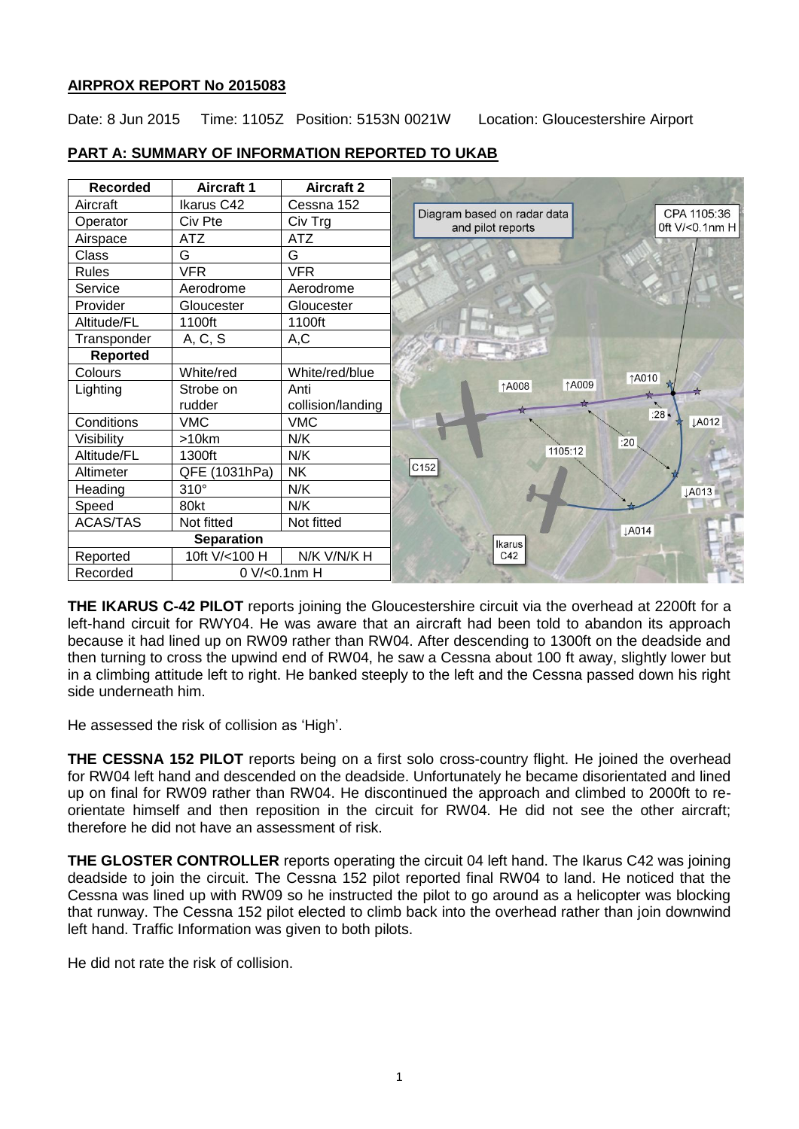# **AIRPROX REPORT No 2015083**

Date: 8 Jun 2015 Time: 1105Z Position: 5153N 0021W Location: Gloucestershire Airport

| <b>Recorded</b>   | <b>Aircraft 1</b> | <b>Aircraft 2</b> |                                                                                      |
|-------------------|-------------------|-------------------|--------------------------------------------------------------------------------------|
| Aircraft          | Ikarus C42        | Cessna 152        |                                                                                      |
| Operator          | Civ Pte           | Civ Trg           | CPA 1105:36<br>Diagram based on radar data<br>Oft $V$ /<0.1nm H<br>and pilot reports |
| Airspace          | <b>ATZ</b>        | ATZ               |                                                                                      |
| Class             | G                 | G                 |                                                                                      |
| <b>Rules</b>      | <b>VFR</b>        | <b>VFR</b>        |                                                                                      |
| Service           | Aerodrome         | Aerodrome         |                                                                                      |
| Provider          | Gloucester        | Gloucester        |                                                                                      |
| Altitude/FL       | 1100ft            | 1100ft            |                                                                                      |
| Transponder       | A, C, S           | A, C              |                                                                                      |
| Reported          |                   |                   |                                                                                      |
| Colours           | White/red         | White/red/blue    | ↑A010                                                                                |
| Lighting          | Strobe on         | Anti              | <b>1A009</b><br>↑A008                                                                |
|                   | rudder            | collision/landing |                                                                                      |
| Conditions        | <b>VMC</b>        | <b>VMC</b>        | :28 $\star$<br><b>JA012</b>                                                          |
| Visibility        | >10km             | N/K               | :20                                                                                  |
| Altitude/FL       | 1300ft            | N/K               | 1105:12                                                                              |
| Altimeter         | QFE (1031hPa)     | <b>NK</b>         | C152                                                                                 |
| Heading           | $310^\circ$       | N/K               | <b>JA013</b>                                                                         |
| Speed             | 80kt              | N/K               |                                                                                      |
| ACAS/TAS          | Not fitted        | Not fitted        | <b>LA014</b>                                                                         |
| <b>Separation</b> |                   |                   | Ikarus                                                                               |
| Reported          | 10ft V/<100 H     | N/K V/N/K H       | C42                                                                                  |
| Recorded          | 0 V/<0.1nm H      |                   |                                                                                      |

# **PART A: SUMMARY OF INFORMATION REPORTED TO UKAB**

**THE IKARUS C-42 PILOT** reports joining the Gloucestershire circuit via the overhead at 2200ft for a left-hand circuit for RWY04. He was aware that an aircraft had been told to abandon its approach because it had lined up on RW09 rather than RW04. After descending to 1300ft on the deadside and then turning to cross the upwind end of RW04, he saw a Cessna about 100 ft away, slightly lower but in a climbing attitude left to right. He banked steeply to the left and the Cessna passed down his right side underneath him.

He assessed the risk of collision as 'High'.

**THE CESSNA 152 PILOT** reports being on a first solo cross-country flight. He joined the overhead for RW04 left hand and descended on the deadside. Unfortunately he became disorientated and lined up on final for RW09 rather than RW04. He discontinued the approach and climbed to 2000ft to reorientate himself and then reposition in the circuit for RW04. He did not see the other aircraft; therefore he did not have an assessment of risk.

**THE GLOSTER CONTROLLER** reports operating the circuit 04 left hand. The Ikarus C42 was joining deadside to join the circuit. The Cessna 152 pilot reported final RW04 to land. He noticed that the Cessna was lined up with RW09 so he instructed the pilot to go around as a helicopter was blocking that runway. The Cessna 152 pilot elected to climb back into the overhead rather than join downwind left hand. Traffic Information was given to both pilots.

He did not rate the risk of collision.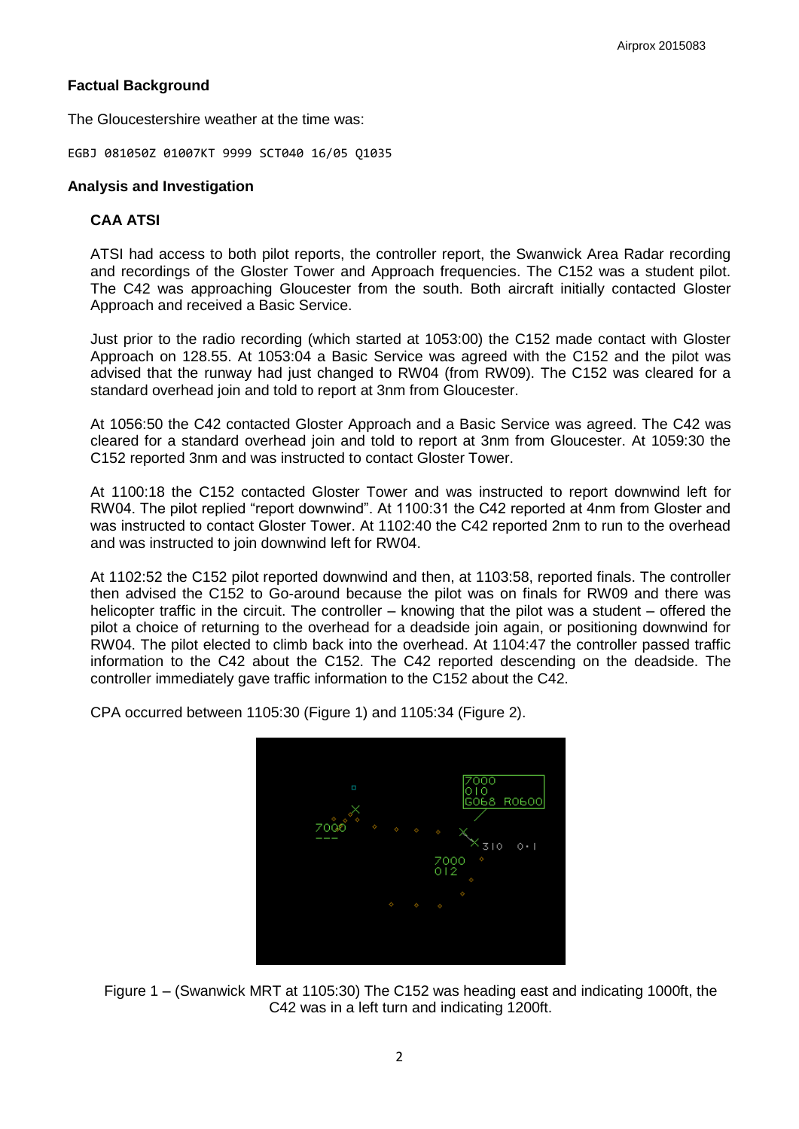# **Factual Background**

The Gloucestershire weather at the time was:

EGBJ 081050Z 01007KT 9999 SCT040 16/05 Q1035

## **Analysis and Investigation**

## **CAA ATSI**

ATSI had access to both pilot reports, the controller report, the Swanwick Area Radar recording and recordings of the Gloster Tower and Approach frequencies. The C152 was a student pilot. The C42 was approaching Gloucester from the south. Both aircraft initially contacted Gloster Approach and received a Basic Service.

Just prior to the radio recording (which started at 1053:00) the C152 made contact with Gloster Approach on 128.55. At 1053:04 a Basic Service was agreed with the C152 and the pilot was advised that the runway had just changed to RW04 (from RW09). The C152 was cleared for a standard overhead join and told to report at 3nm from Gloucester.

At 1056:50 the C42 contacted Gloster Approach and a Basic Service was agreed. The C42 was cleared for a standard overhead join and told to report at 3nm from Gloucester. At 1059:30 the C152 reported 3nm and was instructed to contact Gloster Tower.

At 1100:18 the C152 contacted Gloster Tower and was instructed to report downwind left for RW04. The pilot replied "report downwind". At 1100:31 the C42 reported at 4nm from Gloster and was instructed to contact Gloster Tower. At 1102:40 the C42 reported 2nm to run to the overhead and was instructed to join downwind left for RW04.

At 1102:52 the C152 pilot reported downwind and then, at 1103:58, reported finals. The controller then advised the C152 to Go-around because the pilot was on finals for RW09 and there was helicopter traffic in the circuit. The controller – knowing that the pilot was a student – offered the pilot a choice of returning to the overhead for a deadside join again, or positioning downwind for RW04. The pilot elected to climb back into the overhead. At 1104:47 the controller passed traffic information to the C42 about the C152. The C42 reported descending on the deadside. The controller immediately gave traffic information to the C152 about the C42.

CPA occurred between 1105:30 (Figure 1) and 1105:34 (Figure 2).



Figure 1 – (Swanwick MRT at 1105:30) The C152 was heading east and indicating 1000ft, the C42 was in a left turn and indicating 1200ft.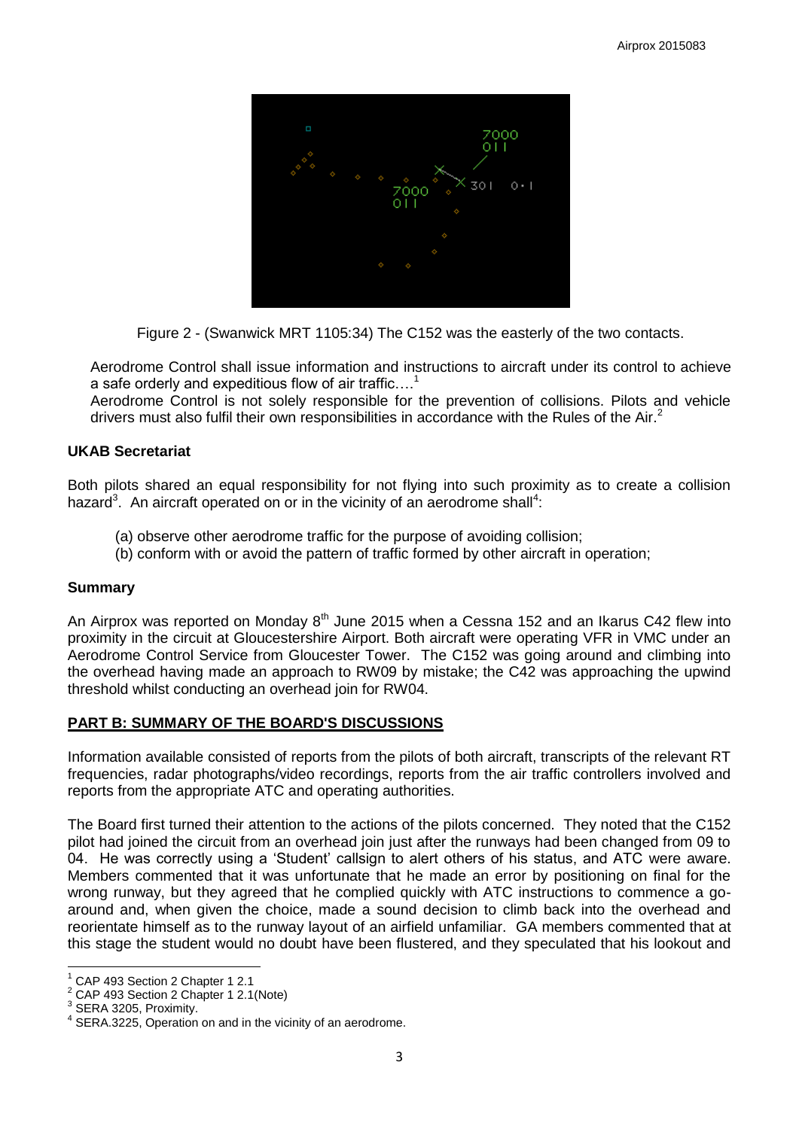

Figure 2 - (Swanwick MRT 1105:34) The C152 was the easterly of the two contacts.

Aerodrome Control shall issue information and instructions to aircraft under its control to achieve a safe orderly and expeditious flow of air traffic....<sup>1</sup>

Aerodrome Control is not solely responsible for the prevention of collisions. Pilots and vehicle drivers must also fulfil their own responsibilities in accordance with the Rules of the Air.<sup>2</sup>

## **UKAB Secretariat**

Both pilots shared an equal responsibility for not flying into such proximity as to create a collision hazard<sup>3</sup>. An aircraft operated on or in the vicinity of an aerodrome shall<sup>4</sup>:

- (a) observe other aerodrome traffic for the purpose of avoiding collision;
- (b) conform with or avoid the pattern of traffic formed by other aircraft in operation;

## **Summary**

An Airprox was reported on Monday  $8<sup>th</sup>$  June 2015 when a Cessna 152 and an Ikarus C42 flew into proximity in the circuit at Gloucestershire Airport. Both aircraft were operating VFR in VMC under an Aerodrome Control Service from Gloucester Tower. The C152 was going around and climbing into the overhead having made an approach to RW09 by mistake; the C42 was approaching the upwind threshold whilst conducting an overhead join for RW04.

## **PART B: SUMMARY OF THE BOARD'S DISCUSSIONS**

Information available consisted of reports from the pilots of both aircraft, transcripts of the relevant RT frequencies, radar photographs/video recordings, reports from the air traffic controllers involved and reports from the appropriate ATC and operating authorities.

The Board first turned their attention to the actions of the pilots concerned. They noted that the C152 pilot had joined the circuit from an overhead join just after the runways had been changed from 09 to 04. He was correctly using a 'Student' callsign to alert others of his status, and ATC were aware. Members commented that it was unfortunate that he made an error by positioning on final for the wrong runway, but they agreed that he complied quickly with ATC instructions to commence a goaround and, when given the choice, made a sound decision to climb back into the overhead and reorientate himself as to the runway layout of an airfield unfamiliar. GA members commented that at this stage the student would no doubt have been flustered, and they speculated that his lookout and

 $\overline{\phantom{a}}$ 

 $1$  CAP 493 Section 2 Chapter 1 2.1

 $^2$  CAP 493 Section 2 Chapter 1 2.1 (Note)

SERA 3205, Proximity.

<sup>&</sup>lt;sup>4</sup> SERA.3225, Operation on and in the vicinity of an aerodrome.